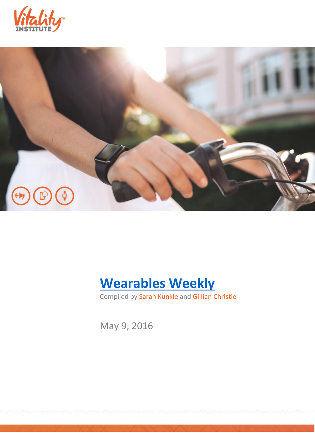





Compiled by Sarah Kunkle and Gillian Christie

May 9, 2016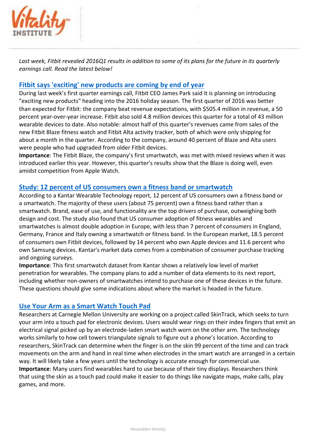

*Last week, Fitbit revealed 2016Q1 results in addition to some of its plans for the future in its quarterly earnings call. Read the latest below!*

## **[Fitbit says 'exciting' new products are coming by end of year](http://www.theverge.com/2016/5/4/11593860/fitbit-exciting-new-products-holidays-2016-first-quarter-earnings)**

During last week's first quarter earnings call, Fitbit CEO James Park said it is planning on introducing "exciting new products" heading into the 2016 holiday season. The first quarter of 2016 was better than expected for Fitbit: the company beat revenue expectations, with \$505.4 million in revenue, a 50 percent year-over-year increase. Fitbit also sold 4.8 million devices this quarter for a total of 43 million wearable devices to date. Also notable: almost half of this quarter's revenues came from sales of the new Fitbit Blaze fitness watch and Fitbit Alta activity tracker, both of which were only shipping for about a month in the quarter. According to the company, around 40 percent of Blaze and Alta users were people who had upgraded from older Fitbit devices.

**Importance**: The Fitbit Blaze, the company's first smartwatch, was met with mixed reviews when it was introduced earlier this year. However, this quarter's results show that the Blaze is doing well, even amidst competition from Apple Watch.

## **[Study: 12 percent of US consumers own a fitness band or smartwatch](http://mobihealthnews.com/content/study-12-percent-us-consumers-own-fitness-band-or-smartwatch)**

According to a Kantar Wearable Technology report, 12 percent of US consumers own a fitness band or a smartwatch. The majority of these users (about 75 percent) own a fitness band rather than a smartwatch. Brand, ease of use, and functionality are the top drivers of purchase, outweighing both design and cost. The study also found that US consumer adoption of fitness wearables and smartwatches is almost double adoption in Europe, with less than 7 percent of consumers in England, Germany, France and Italy owning a smartwatch or fitness band. In the European market, 18.5 percent of consumers own Fitbit devices, followed by 14 percent who own Apple devices and 11.6 percent who own Samsung devices. Kantar's market data comes from a combination of consumer purchase tracking and ongoing surveys.

**Importance**: This first smartwatch dataset from Kantar shows a relatively low level of market penetration for wearables. The company plans to add a number of data elements to its next report, including whether non-owners of smartwatches intend to purchase one of these devices in the future. These questions should give some indications about where the market is headed in the future.

## **[Use Your Arm as a Smart Watch Touch Pad](https://www.technologyreview.com/s/601405/use-your-arm-as-a-smart-watch-touch-pad/)**

Researchers at Carnegie Mellon University are working on a project called SkinTrack, which seeks to turn your arm into a touch pad for electronic devices. Users would wear rings on their index fingers that emit an electrical signal picked up by an electrode-laden smart watch worn on the other arm. The technology works similarly to how cell towers triangulate signals to figure out a phone's location. According to researchers, SkinTrack can determine when the finger is on the skin 99 percent of the time and can track movements on the arm and hand in real time when electrodes in the smart watch are arranged in a certain way. It will likely take a few years until the technology is accurate enough for commercial use. **Importance**: Many users find wearables hard to use because of their tiny displays. Researchers think that using the skin as a touch pad could make it easier to do things like navigate maps, make calls, play games, and more.